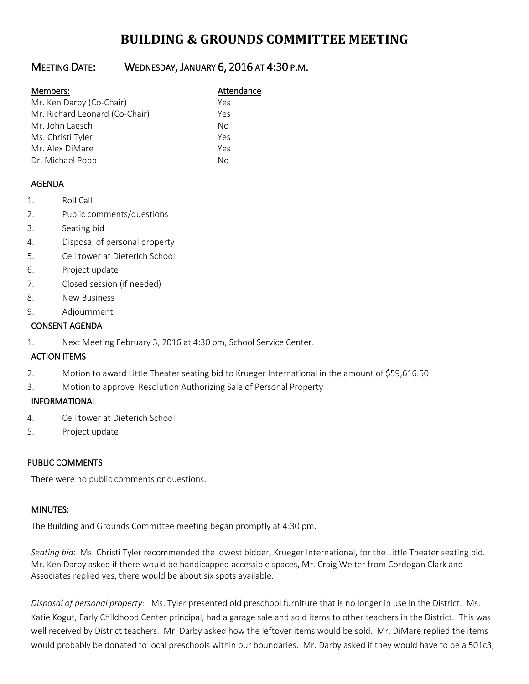# **BUILDING & GROUNDS COMMITTEE MEETING**

## MEETING DATE: WEDNESDAY, JANUARY 6, 2016 AT 4:30 P.M.

#### Members: Manual Members: Attendance

| Mr. Ken Darby (Co-Chair)       | Yρς |
|--------------------------------|-----|
| Mr. Richard Leonard (Co-Chair) | Yes |
| Mr. John Laesch                | Nο  |
| Ms. Christi Tyler              | Yes |
| Mr. Alex DiMare                | Yes |
| Dr. Michael Popp               | N٥  |

### AGENDA

- 1. Roll Call
- 2. Public comments/questions
- 3. Seating bid
- 4. Disposal of personal property
- 5. Cell tower at Dieterich School
- 6. Project update
- 7. Closed session (if needed)
- 8. New Business
- 9. Adjournment

#### CONSENT AGENDA

1. Next Meeting February 3, 2016 at 4:30 pm, School Service Center.

### ACTION ITEMS

- 2. Motion to award Little Theater seating bid to Krueger International in the amount of \$59,616.50
- 3. Motion to approve Resolution Authorizing Sale of Personal Property

### INFORMATIONAL

- 4. Cell tower at Dieterich School
- 5. Project update

### PUBLIC COMMENTS

There were no public comments or questions.

### MINUTES:

The Building and Grounds Committee meeting began promptly at 4:30 pm.

*Seating bid*: Ms. Christi Tyler recommended the lowest bidder, Krueger International, for the Little Theater seating bid. Mr. Ken Darby asked if there would be handicapped accessible spaces, Mr. Craig Welter from Cordogan Clark and Associates replied yes, there would be about six spots available.

*Disposal of personal property:* Ms. Tyler presented old preschool furniture that is no longer in use in the District. Ms. Katie Kogut, Early Childhood Center principal, had a garage sale and sold items to other teachers in the District. This was well received by District teachers. Mr. Darby asked how the leftover items would be sold. Mr. DiMare replied the items would probably be donated to local preschools within our boundaries. Mr. Darby asked if they would have to be a 501c3,